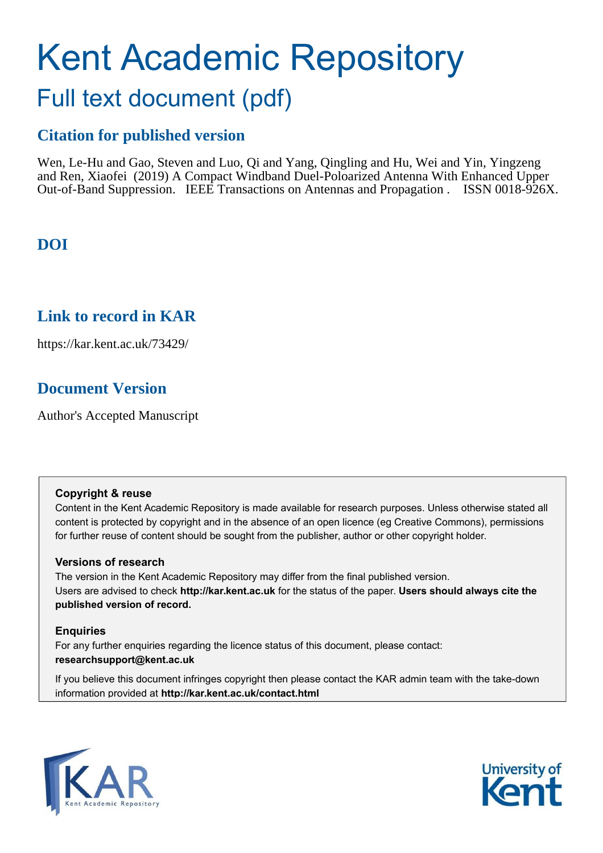# Kent Academic Repository Full text document (pdf)

### **Citation for published version**

Wen, Le-Hu and Gao, Steven and Luo, Qi and Yang, Qingling and Hu, Wei and Yin, Yingzeng and Ren, Xiaofei (2019) A Compact Windband Duel-Poloarized Antenna With Enhanced Upper Out-of-Band Suppression. IEEE Transactions on Antennas and Propagation . ISSN 0018-926X.

### **DOI**

### **Link to record in KAR**

https://kar.kent.ac.uk/73429/

### **Document Version**

Author's Accepted Manuscript

#### **Copyright & reuse**

Content in the Kent Academic Repository is made available for research purposes. Unless otherwise stated all content is protected by copyright and in the absence of an open licence (eg Creative Commons), permissions for further reuse of content should be sought from the publisher, author or other copyright holder.

#### **Versions of research**

The version in the Kent Academic Repository may differ from the final published version. Users are advised to check **http://kar.kent.ac.uk** for the status of the paper. **Users should always cite the published version of record.**

#### **Enquiries**

For any further enquiries regarding the licence status of this document, please contact: **researchsupport@kent.ac.uk**

If you believe this document infringes copyright then please contact the KAR admin team with the take-down information provided at **http://kar.kent.ac.uk/contact.html**



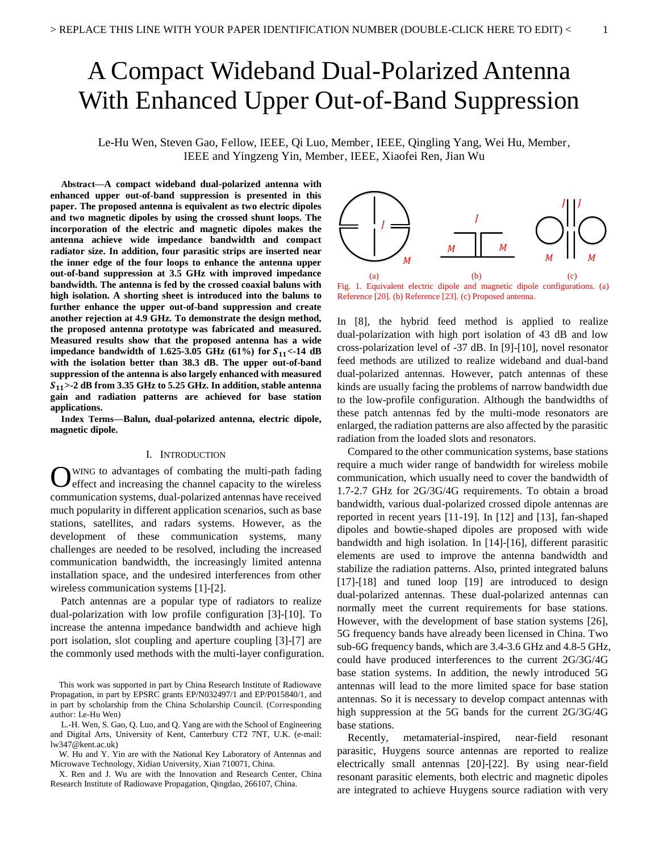## A Compact Wideband Dual-Polarized Antenna With Enhanced Upper Out-of-Band Suppression

Le-Hu Wen, Steven Gao, Fellow, IEEE, Qi Luo, Member, IEEE, Qingling Yang, Wei Hu, Member, IEEE and Yingzeng Yin, Member, IEEE, Xiaofei Ren, Jian Wu

**Abstract—A compact wideband dual-polarized antenna with enhanced upper out-of-band suppression is presented in this paper. The proposed antenna is equivalent as two electric dipoles and two magnetic dipoles by using the crossed shunt loops. The incorporation of the electric and magnetic dipoles makes the antenna achieve wide impedance bandwidth and compact radiator size. In addition, four parasitic strips are inserted near the inner edge of the four loops to enhance the antenna upper out-of-band suppression at 3.5 GHz with improved impedance bandwidth. The antenna is fed by the crossed coaxial baluns with high isolation. A shorting sheet is introduced into the baluns to further enhance the upper out-of-band suppression and create another rejection at 4.9 GHz. To demonstrate the design method, the proposed antenna prototype was fabricated and measured. Measured results show that the proposed antenna has a wide impedance bandwidth of 1.625-3.05 GHz** (61%) for  $S_{11}$  <-14 dB **with the isolation better than 38.3 dB. The upper out-of-band suppression of the antenna is also largely enhanced with measured >-2 dB from 3.35 GHz to 5.25 GHz. In addition, stable antenna gain and radiation patterns are achieved for base station applications.** 

**Index Terms—Balun, dual-polarized antenna, electric dipole, magnetic dipole.** 

#### I. INTRODUCTION

OWING to advantages of combating the multi-path fading<br>
Oeffect and increasing the channel capacity to the wireless effect and increasing the channel capacity to the wireless communication systems, dual-polarized antennas have received much popularity in different application scenarios, such as base stations, satellites, and radars systems. However, as the development of these communication systems, many challenges are needed to be resolved, including the increased communication bandwidth, the increasingly limited antenna installation space, and the undesired interferences from other wireless communication systems [1]-[2].

Patch antennas are a popular type of radiators to realize dual-polarization with low profile configuration [3]-[10]. To increase the antenna impedance bandwidth and achieve high port isolation, slot coupling and aperture coupling [3]-[7] are the commonly used methods with the multi-layer configuration.



Fig. 1. Equivalent electric dipole and magnetic dipole configurations. (a) Reference [20]. (b) Reference [23]. (c) Proposed antenna.

In [8], the hybrid feed method is applied to realize dual-polarization with high port isolation of 43 dB and low cross-polarization level of -37 dB. In [9]-[10], novel resonator feed methods are utilized to realize wideband and dual-band dual-polarized antennas. However, patch antennas of these kinds are usually facing the problems of narrow bandwidth due to the low-profile configuration. Although the bandwidths of these patch antennas fed by the multi-mode resonators are enlarged, the radiation patterns are also affected by the parasitic radiation from the loaded slots and resonators.

Compared to the other communication systems, base stations require a much wider range of bandwidth for wireless mobile communication, which usually need to cover the bandwidth of 1.7-2.7 GHz for 2G/3G/4G requirements. To obtain a broad bandwidth, various dual-polarized crossed dipole antennas are reported in recent years [11-19]. In [12] and [13], fan-shaped dipoles and bowtie-shaped dipoles are proposed with wide bandwidth and high isolation. In [14]-[16], different parasitic elements are used to improve the antenna bandwidth and stabilize the radiation patterns. Also, printed integrated baluns [17]-[18] and tuned loop [19] are introduced to design dual-polarized antennas. These dual-polarized antennas can normally meet the current requirements for base stations. However, with the development of base station systems [26], 5G frequency bands have already been licensed in China. Two sub-6G frequency bands, which are 3.4-3.6 GHz and 4.8-5 GHz, could have produced interferences to the current 2G/3G/4G base station systems. In addition, the newly introduced 5G antennas will lead to the more limited space for base station antennas. So it is necessary to develop compact antennas with high suppression at the 5G bands for the current 2G/3G/4G base stations.

Recently, metamaterial-inspired, near-field resonant parasitic, Huygens source antennas are reported to realize electrically small antennas [20]-[22]. By using near-field resonant parasitic elements, both electric and magnetic dipoles are integrated to achieve Huygens source radiation with very

This work was supported in part by China Research Institute of Radiowave Propagation, in part by EPSRC grants EP/N032497/1 and EP/P015840/1, and in part by scholarship from the China Scholarship Council. (Corresponding author: Le-Hu Wen)

L.-H. Wen, S. Gao, Q. Luo, and Q. Yang are with the School of Engineering and Digital Arts, University of Kent, Canterbury CT2 7NT, U.K. (e-mail: lw347@kent.ac.uk)

W. Hu and Y. Yin are with the National Key Laboratory of Antennas and Microwave Technology, Xidian University, Xian 710071, China.

X. Ren and J. Wu are with the Innovation and Research Center, China Research Institute of Radiowave Propagation, Qingdao, 266107, China.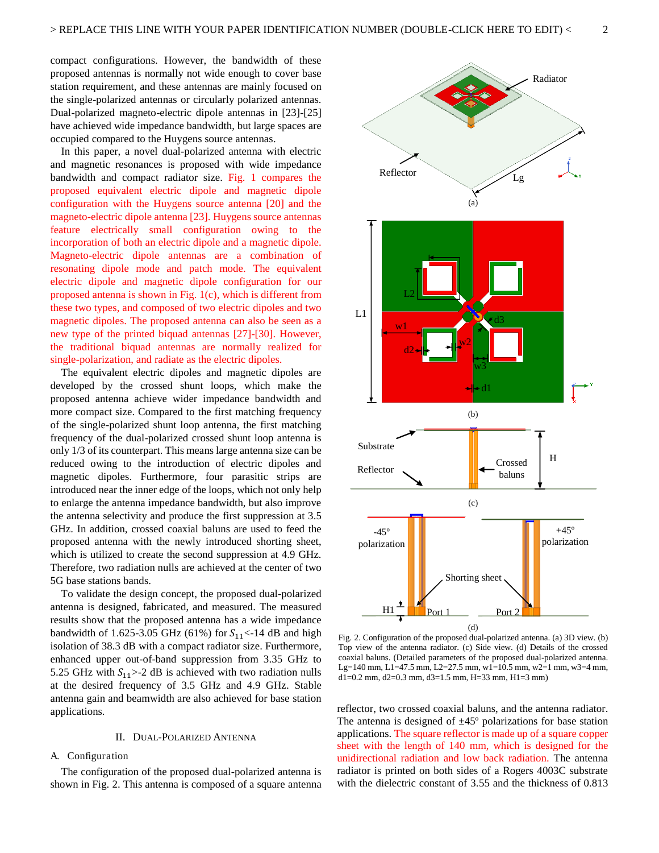compact configurations. However, the bandwidth of these proposed antennas is normally not wide enough to cover base station requirement, and these antennas are mainly focused on the single-polarized antennas or circularly polarized antennas. Dual-polarized magneto-electric dipole antennas in [23]-[25] have achieved wide impedance bandwidth, but large spaces are occupied compared to the Huygens source antennas.

In this paper, a novel dual-polarized antenna with electric and magnetic resonances is proposed with wide impedance bandwidth and compact radiator size. Fig. 1 compares the proposed equivalent electric dipole and magnetic dipole configuration with the Huygens source antenna [20] and the magneto-electric dipole antenna [23]. Huygens source antennas feature electrically small configuration owing to the incorporation of both an electric dipole and a magnetic dipole. Magneto-electric dipole antennas are a combination of resonating dipole mode and patch mode. The equivalent electric dipole and magnetic dipole configuration for our proposed antenna is shown in Fig. 1(c), which is different from these two types, and composed of two electric dipoles and two magnetic dipoles. The proposed antenna can also be seen as a new type of the printed biquad antennas [27]-[30]. However, the traditional biquad antennas are normally realized for single-polarization, and radiate as the electric dipoles.

The equivalent electric dipoles and magnetic dipoles are developed by the crossed shunt loops, which make the proposed antenna achieve wider impedance bandwidth and more compact size. Compared to the first matching frequency of the single-polarized shunt loop antenna, the first matching frequency of the dual-polarized crossed shunt loop antenna is only 1/3 of its counterpart. This means large antenna size can be reduced owing to the introduction of electric dipoles and magnetic dipoles. Furthermore, four parasitic strips are introduced near the inner edge of the loops, which not only help to enlarge the antenna impedance bandwidth, but also improve the antenna selectivity and produce the first suppression at 3.5 GHz. In addition, crossed coaxial baluns are used to feed the proposed antenna with the newly introduced shorting sheet, which is utilized to create the second suppression at 4.9 GHz. Therefore, two radiation nulls are achieved at the center of two 5G base stations bands.

To validate the design concept, the proposed dual-polarized antenna is designed, fabricated, and measured. The measured results show that the proposed antenna has a wide impedance bandwidth of 1.625-3.05 GHz (61%) for  $S_{11}$  <-14 dB and high isolation of 38.3 dB with a compact radiator size. Furthermore, enhanced upper out-of-band suppression from 3.35 GHz to 5.25 GHz with  $S_{11}$  > -2 dB is achieved with two radiation nulls at the desired frequency of 3.5 GHz and 4.9 GHz. Stable antenna gain and beamwidth are also achieved for base station applications.

#### II. DUAL-POLARIZED ANTENNA

#### A. Configuration

The configuration of the proposed dual-polarized antenna is shown in Fig. 2. This antenna is composed of a square antenna



Fig. 2. Configuration of the proposed dual-polarized antenna. (a) 3D view. (b) Top view of the antenna radiator. (c) Side view. (d) Details of the crossed coaxial baluns. (Detailed parameters of the proposed dual-polarized antenna. Lg=140 mm, L1=47.5 mm, L2=27.5 mm, w1=10.5 mm, w2=1 mm, w3=4 mm,  $d1=0.2$  mm,  $d2=0.3$  mm,  $d3=1.5$  mm,  $H=33$  mm,  $H1=3$  mm)

reflector, two crossed coaxial baluns, and the antenna radiator. The antenna is designed of  $\pm 45^{\circ}$  polarizations for base station applications. The square reflector is made up of a square copper sheet with the length of 140 mm, which is designed for the unidirectional radiation and low back radiation. The antenna radiator is printed on both sides of a Rogers 4003C substrate with the dielectric constant of 3.55 and the thickness of 0.813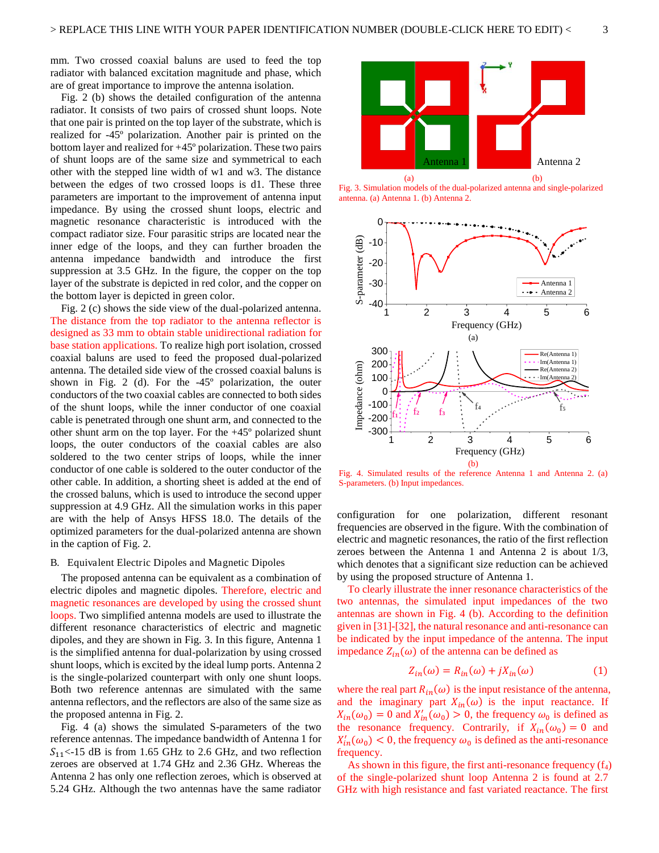mm. Two crossed coaxial baluns are used to feed the top radiator with balanced excitation magnitude and phase, which are of great importance to improve the antenna isolation.

Fig. 2 (b) shows the detailed configuration of the antenna radiator. It consists of two pairs of crossed shunt loops. Note that one pair is printed on the top layer of the substrate, which is realized for -45º polarization. Another pair is printed on the bottom layer and realized for +45º polarization. These two pairs of shunt loops are of the same size and symmetrical to each other with the stepped line width of w1 and w3. The distance between the edges of two crossed loops is d1. These three parameters are important to the improvement of antenna input impedance. By using the crossed shunt loops, electric and magnetic resonance characteristic is introduced with the compact radiator size. Four parasitic strips are located near the inner edge of the loops, and they can further broaden the antenna impedance bandwidth and introduce the first suppression at 3.5 GHz. In the figure, the copper on the top layer of the substrate is depicted in red color, and the copper on the bottom layer is depicted in green color.

Fig. 2 (c) shows the side view of the dual-polarized antenna. The distance from the top radiator to the antenna reflector is designed as 33 mm to obtain stable unidirectional radiation for base station applications. To realize high port isolation, crossed coaxial baluns are used to feed the proposed dual-polarized antenna. The detailed side view of the crossed coaxial baluns is shown in Fig. 2 (d). For the -45º polarization, the outer conductors of the two coaxial cables are connected to both sides of the shunt loops, while the inner conductor of one coaxial cable is penetrated through one shunt arm, and connected to the other shunt arm on the top layer. For the +45º polarized shunt loops, the outer conductors of the coaxial cables are also soldered to the two center strips of loops, while the inner conductor of one cable is soldered to the outer conductor of the other cable. In addition, a shorting sheet is added at the end of the crossed baluns, which is used to introduce the second upper suppression at 4.9 GHz. All the simulation works in this paper are with the help of Ansys HFSS 18.0. The details of the optimized parameters for the dual-polarized antenna are shown in the caption of Fig. 2.

#### B. Equivalent Electric Dipoles and Magnetic Dipoles

The proposed antenna can be equivalent as a combination of electric dipoles and magnetic dipoles. Therefore, electric and magnetic resonances are developed by using the crossed shunt loops. Two simplified antenna models are used to illustrate the different resonance characteristics of electric and magnetic dipoles, and they are shown in Fig. 3. In this figure, Antenna 1 is the simplified antenna for dual-polarization by using crossed shunt loops, which is excited by the ideal lump ports. Antenna 2 is the single-polarized counterpart with only one shunt loops. Both two reference antennas are simulated with the same antenna reflectors, and the reflectors are also of the same size as the proposed antenna in Fig. 2.

Fig. 4 (a) shows the simulated S-parameters of the two reference antennas. The impedance bandwidth of Antenna 1 for  $S_{11}$ <-15 dB is from 1.65 GHz to 2.6 GHz, and two reflection zeroes are observed at 1.74 GHz and 2.36 GHz. Whereas the Antenna 2 has only one reflection zeroes, which is observed at 5.24 GHz. Although the two antennas have the same radiator



Fig. 3. Simulation models of the dual-polarized antenna and single-polarized antenna. (a) Antenna 1. (b) Antenna 2.



Fig. 4. Simulated results of the reference Antenna 1 and Antenna 2. (a) S-parameters. (b) Input impedances.

configuration for one polarization, different resonant frequencies are observed in the figure. With the combination of electric and magnetic resonances, the ratio of the first reflection zeroes between the Antenna 1 and Antenna 2 is about 1/3, which denotes that a significant size reduction can be achieved by using the proposed structure of Antenna 1.

To clearly illustrate the inner resonance characteristics of the two antennas, the simulated input impedances of the two antennas are shown in Fig. 4 (b). According to the definition given in [31]-[32], the natural resonance and anti-resonance can be indicated by the input impedance of the antenna. The input impedance  $Z_{in}(\omega)$  of the antenna can be defined as

$$
Z_{in}(\omega) = R_{in}(\omega) + jX_{in}(\omega)
$$
 (1)

where the real part  $R_{in}(\omega)$  is the input resistance of the antenna, and the imaginary part  $X_{in}(\omega)$  is the input reactance. If  $X_{in}(\omega_0) = 0$  and  $X'_{in}(\omega_0) > 0$ , the frequency  $\omega_0$  is defined as the resonance frequency. Contrarily, if  $X_{in}(\omega_0) = 0$  and  $X'_{in}(\omega_0)$  < 0, the frequency  $\omega_0$  is defined as the anti-resonance frequency.

As shown in this figure, the first anti-resonance frequency  $(f_4)$ of the single-polarized shunt loop Antenna 2 is found at 2.7 GHz with high resistance and fast variated reactance. The first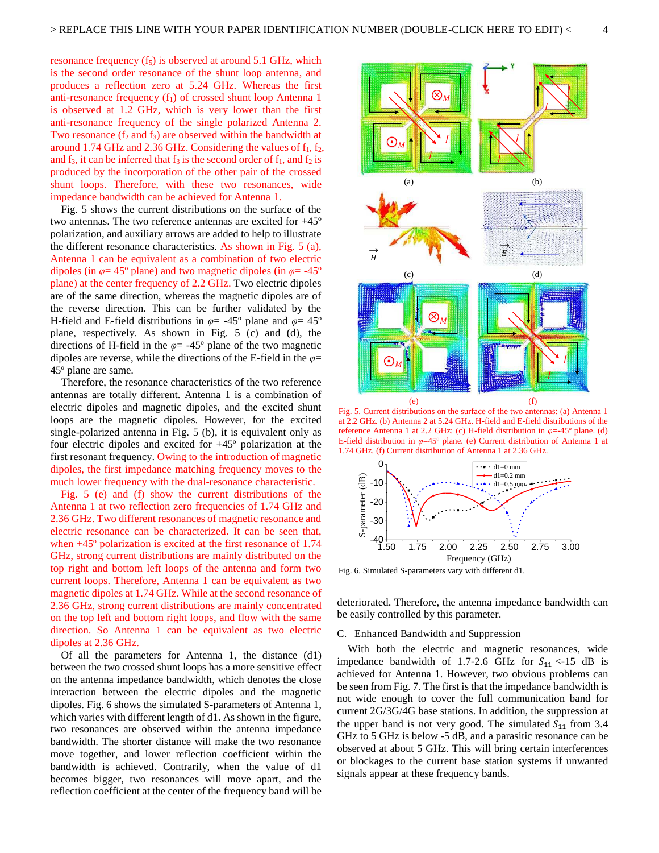resonance frequency  $(f_5)$  is observed at around 5.1 GHz, which is the second order resonance of the shunt loop antenna, and produces a reflection zero at 5.24 GHz. Whereas the first anti-resonance frequency  $(f_1)$  of crossed shunt loop Antenna 1 is observed at 1.2 GHz, which is very lower than the first anti-resonance frequency of the single polarized Antenna 2. Two resonance  $(f_2 \text{ and } f_3)$  are observed within the bandwidth at around 1.74 GHz and 2.36 GHz. Considering the values of  $f_1, f_2$ , and  $f_3$ , it can be inferred that  $f_3$  is the second order of  $f_1$ , and  $f_2$  is produced by the incorporation of the other pair of the crossed shunt loops. Therefore, with these two resonances, wide impedance bandwidth can be achieved for Antenna 1.

Fig. 5 shows the current distributions on the surface of the two antennas. The two reference antennas are excited for +45º polarization, and auxiliary arrows are added to help to illustrate the different resonance characteristics. As shown in Fig. 5 (a), Antenna 1 can be equivalent as a combination of two electric dipoles (in *φ*= 45º plane) and two magnetic dipoles (in *φ*= -45º plane) at the center frequency of 2.2 GHz. Two electric dipoles are of the same direction, whereas the magnetic dipoles are of the reverse direction. This can be further validated by the H-field and E-field distributions in *φ*= -45º plane and *φ*= 45º plane, respectively. As shown in Fig. 5 (c) and (d), the directions of H-field in the  $\varphi$  = -45° plane of the two magnetic dipoles are reverse, while the directions of the E-field in the *φ*= 45º plane are same.

Therefore, the resonance characteristics of the two reference antennas are totally different. Antenna 1 is a combination of electric dipoles and magnetic dipoles, and the excited shunt loops are the magnetic dipoles. However, for the excited single-polarized antenna in Fig. 5 (b), it is equivalent only as four electric dipoles and excited for +45º polarization at the first resonant frequency. Owing to the introduction of magnetic dipoles, the first impedance matching frequency moves to the much lower frequency with the dual-resonance characteristic.

Fig. 5 (e) and (f) show the current distributions of the Antenna 1 at two reflection zero frequencies of 1.74 GHz and 2.36 GHz. Two different resonances of magnetic resonance and electric resonance can be characterized. It can be seen that, when +45º polarization is excited at the first resonance of 1.74 GHz, strong current distributions are mainly distributed on the top right and bottom left loops of the antenna and form two current loops. Therefore, Antenna 1 can be equivalent as two magnetic dipoles at 1.74 GHz. While at the second resonance of 2.36 GHz, strong current distributions are mainly concentrated on the top left and bottom right loops, and flow with the same direction. So Antenna 1 can be equivalent as two electric dipoles at 2.36 GHz.

Of all the parameters for Antenna 1, the distance (d1) between the two crossed shunt loops has a more sensitive effect on the antenna impedance bandwidth, which denotes the close interaction between the electric dipoles and the magnetic dipoles. Fig. 6 shows the simulated S-parameters of Antenna 1, which varies with different length of d1. As shown in the figure, two resonances are observed within the antenna impedance bandwidth. The shorter distance will make the two resonance move together, and lower reflection coefficient within the bandwidth is achieved. Contrarily, when the value of d1 becomes bigger, two resonances will move apart, and the reflection coefficient at the center of the frequency band will be



Fig. 5. Current distributions on the surface of the two antennas: (a) Antenna 1 at 2.2 GHz. (b) Antenna 2 at 5.24 GHz. H-field and E-field distributions of the reference Antenna 1 at 2.2 GHz: (c) H-field distribution in *φ*=-45º plane. (d) E-field distribution in *φ*=45º plane. (e) Current distribution of Antenna 1 at 1.74 GHz. (f) Current distribution of Antenna 1 at 2.36 GHz.



Fig. 6. Simulated S-parameters vary with different d1.

deteriorated. Therefore, the antenna impedance bandwidth can be easily controlled by this parameter.

#### C. Enhanced Bandwidth and Suppression

With both the electric and magnetic resonances, wide impedance bandwidth of 1.7-2.6 GHz for  $S_{11}$  <-15 dB is achieved for Antenna 1. However, two obvious problems can be seen from Fig. 7. The first is that the impedance bandwidth is not wide enough to cover the full communication band for current 2G/3G/4G base stations. In addition, the suppression at the upper band is not very good. The simulated  $S_{11}$  from 3.4 GHz to 5 GHz is below -5 dB, and a parasitic resonance can be observed at about 5 GHz. This will bring certain interferences or blockages to the current base station systems if unwanted signals appear at these frequency bands.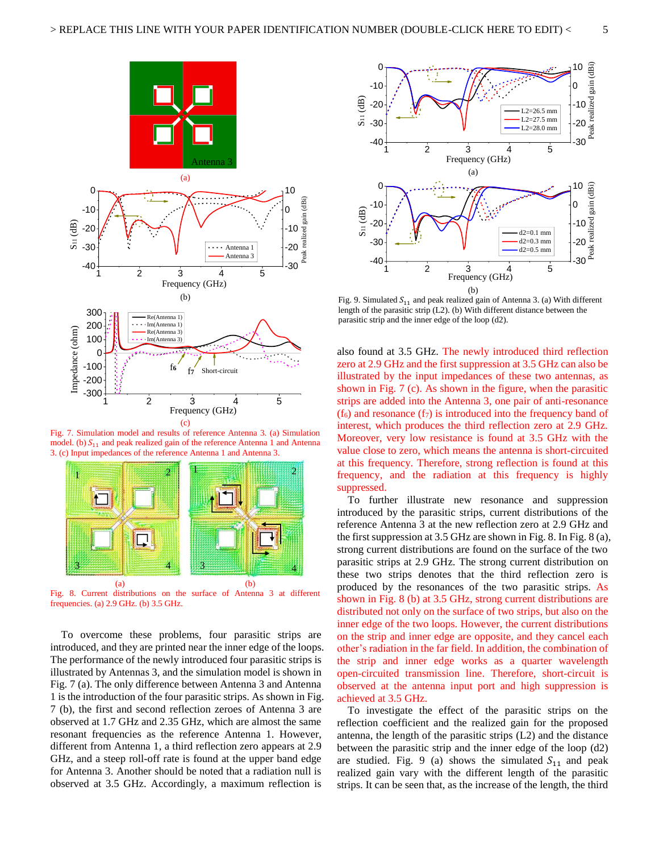

Fig. 7. Simulation model and results of reference Antenna 3. (a) Simulation model. (b)  $S_{11}$  and peak realized gain of the reference Antenna 1 and Antenna 3. (c) Input impedances of the reference Antenna 1 and Antenna 3.



Fig. 8. Current distributions on the surface of Antenna 3 at different frequencies. (a) 2.9 GHz. (b) 3.5 GHz.

To overcome these problems, four parasitic strips are introduced, and they are printed near the inner edge of the loops. The performance of the newly introduced four parasitic strips is illustrated by Antennas 3, and the simulation model is shown in Fig. 7 (a). The only difference between Antenna 3 and Antenna 1 is the introduction of the four parasitic strips. As shown in Fig. 7 (b), the first and second reflection zeroes of Antenna 3 are observed at 1.7 GHz and 2.35 GHz, which are almost the same resonant frequencies as the reference Antenna 1. However, different from Antenna 1, a third reflection zero appears at 2.9 GHz, and a steep roll-off rate is found at the upper band edge for Antenna 3. Another should be noted that a radiation null is observed at 3.5 GHz. Accordingly, a maximum reflection is



Fig. 9. Simulated  $S_{11}$  and peak realized gain of Antenna 3. (a) With different length of the parasitic strip (L2). (b) With different distance between the parasitic strip and the inner edge of the loop (d2).

also found at 3.5 GHz. The newly introduced third reflection zero at 2.9 GHz and the first suppression at 3.5 GHz can also be illustrated by the input impedances of these two antennas, as shown in Fig. 7 (c). As shown in the figure, when the parasitic strips are added into the Antenna 3, one pair of anti-resonance  $(f<sub>6</sub>)$  and resonance  $(f<sub>7</sub>)$  is introduced into the frequency band of interest, which produces the third reflection zero at 2.9 GHz. Moreover, very low resistance is found at 3.5 GHz with the value close to zero, which means the antenna is short-circuited at this frequency. Therefore, strong reflection is found at this frequency, and the radiation at this frequency is highly suppressed.

To further illustrate new resonance and suppression introduced by the parasitic strips, current distributions of the reference Antenna 3 at the new reflection zero at 2.9 GHz and the first suppression at 3.5 GHz are shown in Fig. 8. In Fig. 8 (a), strong current distributions are found on the surface of the two parasitic strips at 2.9 GHz. The strong current distribution on these two strips denotes that the third reflection zero is produced by the resonances of the two parasitic strips. As shown in Fig. 8 (b) at 3.5 GHz, strong current distributions are distributed not only on the surface of two strips, but also on the inner edge of the two loops. However, the current distributions on the strip and inner edge are opposite, and they cancel each other's radiation in the far field. In addition, the combination of the strip and inner edge works as a quarter wavelength open-circuited transmission line. Therefore, short-circuit is observed at the antenna input port and high suppression is achieved at 3.5 GHz.

To investigate the effect of the parasitic strips on the reflection coefficient and the realized gain for the proposed antenna, the length of the parasitic strips (L2) and the distance between the parasitic strip and the inner edge of the loop (d2) are studied. Fig. 9 (a) shows the simulated  $S_{11}$  and peak realized gain vary with the different length of the parasitic strips. It can be seen that, as the increase of the length, the third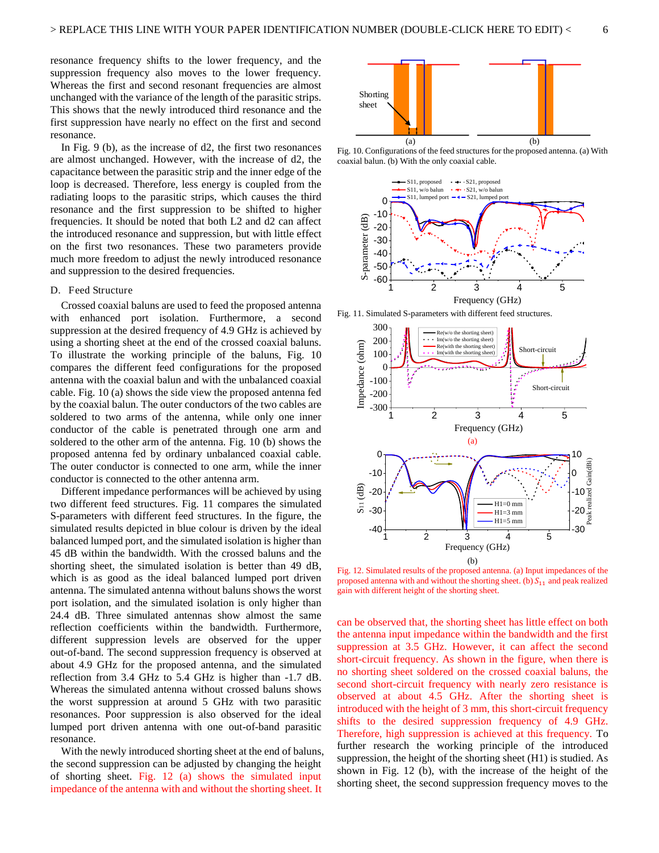resonance frequency shifts to the lower frequency, and the suppression frequency also moves to the lower frequency. Whereas the first and second resonant frequencies are almost unchanged with the variance of the length of the parasitic strips. This shows that the newly introduced third resonance and the first suppression have nearly no effect on the first and second resonance.

In Fig. 9 (b), as the increase of d2, the first two resonances are almost unchanged. However, with the increase of d2, the capacitance between the parasitic strip and the inner edge of the loop is decreased. Therefore, less energy is coupled from the radiating loops to the parasitic strips, which causes the third resonance and the first suppression to be shifted to higher frequencies. It should be noted that both L2 and d2 can affect the introduced resonance and suppression, but with little effect on the first two resonances. These two parameters provide much more freedom to adjust the newly introduced resonance and suppression to the desired frequencies.

#### D. Feed Structure

Crossed coaxial baluns are used to feed the proposed antenna with enhanced port isolation. Furthermore, a second suppression at the desired frequency of 4.9 GHz is achieved by using a shorting sheet at the end of the crossed coaxial baluns. To illustrate the working principle of the baluns, Fig. 10 compares the different feed configurations for the proposed antenna with the coaxial balun and with the unbalanced coaxial cable. Fig. 10 (a) shows the side view the proposed antenna fed by the coaxial balun. The outer conductors of the two cables are soldered to two arms of the antenna, while only one inner conductor of the cable is penetrated through one arm and soldered to the other arm of the antenna. Fig. 10 (b) shows the proposed antenna fed by ordinary unbalanced coaxial cable. The outer conductor is connected to one arm, while the inner conductor is connected to the other antenna arm.

Different impedance performances will be achieved by using two different feed structures. Fig. 11 compares the simulated S-parameters with different feed structures. In the figure, the simulated results depicted in blue colour is driven by the ideal balanced lumped port, and the simulated isolation is higher than 45 dB within the bandwidth. With the crossed baluns and the shorting sheet, the simulated isolation is better than 49 dB, which is as good as the ideal balanced lumped port driven antenna. The simulated antenna without baluns shows the worst port isolation, and the simulated isolation is only higher than 24.4 dB. Three simulated antennas show almost the same reflection coefficients within the bandwidth. Furthermore, different suppression levels are observed for the upper out-of-band. The second suppression frequency is observed at about 4.9 GHz for the proposed antenna, and the simulated reflection from 3.4 GHz to 5.4 GHz is higher than -1.7 dB. Whereas the simulated antenna without crossed baluns shows the worst suppression at around 5 GHz with two parasitic resonances. Poor suppression is also observed for the ideal lumped port driven antenna with one out-of-band parasitic resonance.

With the newly introduced shorting sheet at the end of baluns, the second suppression can be adjusted by changing the height of shorting sheet. Fig. 12 (a) shows the simulated input impedance of the antenna with and without the shorting sheet. It



Fig. 10. Configurations of the feed structures for the proposed antenna. (a) With coaxial balun. (b) With the only coaxial cable.



Fig. 11. Simulated S-parameters with different feed structures.



Fig. 12. Simulated results of the proposed antenna. (a) Input impedances of the proposed antenna with and without the shorting sheet. (b)  $S_{11}$  and peak realized gain with different height of the shorting sheet.

can be observed that, the shorting sheet has little effect on both the antenna input impedance within the bandwidth and the first suppression at 3.5 GHz. However, it can affect the second short-circuit frequency. As shown in the figure, when there is no shorting sheet soldered on the crossed coaxial baluns, the second short-circuit frequency with nearly zero resistance is observed at about 4.5 GHz. After the shorting sheet is introduced with the height of 3 mm, this short-circuit frequency shifts to the desired suppression frequency of 4.9 GHz. Therefore, high suppression is achieved at this frequency. To further research the working principle of the introduced suppression, the height of the shorting sheet (H1) is studied. As shown in Fig. 12 (b), with the increase of the height of the shorting sheet, the second suppression frequency moves to the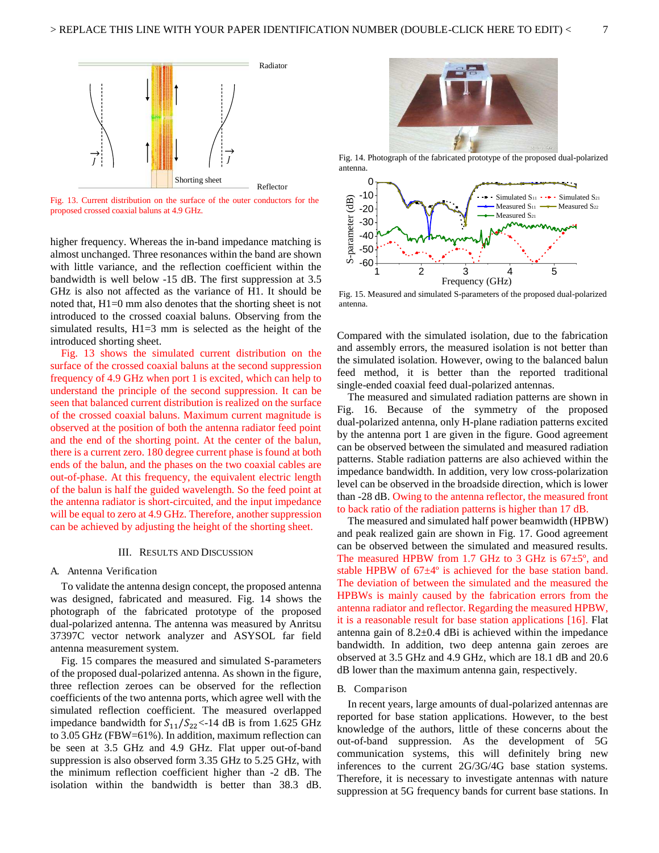

Fig. 13. Current distribution on the surface of the outer conductors for the proposed crossed coaxial baluns at 4.9 GHz.

higher frequency. Whereas the in-band impedance matching is almost unchanged. Three resonances within the band are shown with little variance, and the reflection coefficient within the bandwidth is well below -15 dB. The first suppression at 3.5 GHz is also not affected as the variance of H1. It should be noted that, H1=0 mm also denotes that the shorting sheet is not introduced to the crossed coaxial baluns. Observing from the simulated results, H1=3 mm is selected as the height of the introduced shorting sheet.

Fig. 13 shows the simulated current distribution on the surface of the crossed coaxial baluns at the second suppression frequency of 4.9 GHz when port 1 is excited, which can help to understand the principle of the second suppression. It can be seen that balanced current distribution is realized on the surface of the crossed coaxial baluns. Maximum current magnitude is observed at the position of both the antenna radiator feed point and the end of the shorting point. At the center of the balun, there is a current zero. 180 degree current phase is found at both ends of the balun, and the phases on the two coaxial cables are out-of-phase. At this frequency, the equivalent electric length of the balun is half the guided wavelength. So the feed point at the antenna radiator is short-circuited, and the input impedance will be equal to zero at 4.9 GHz. Therefore, another suppression can be achieved by adjusting the height of the shorting sheet.

#### III. RESULTS AND DISCUSSION

#### A. Antenna Verification

To validate the antenna design concept, the proposed antenna was designed, fabricated and measured. Fig. 14 shows the photograph of the fabricated prototype of the proposed dual-polarized antenna. The antenna was measured by Anritsu 37397C vector network analyzer and ASYSOL far field antenna measurement system.

Fig. 15 compares the measured and simulated S-parameters of the proposed dual-polarized antenna. As shown in the figure, three reflection zeroes can be observed for the reflection coefficients of the two antenna ports, which agree well with the simulated reflection coefficient. The measured overlapped impedance bandwidth for  $S_{11}/S_{22}$ <-14 dB is from 1.625 GHz to 3.05 GHz (FBW=61%). In addition, maximum reflection can be seen at 3.5 GHz and 4.9 GHz. Flat upper out-of-band suppression is also observed form 3.35 GHz to 5.25 GHz, with the minimum reflection coefficient higher than -2 dB. The isolation within the bandwidth is better than 38.3 dB.



Fig. 14. Photograph of the fabricated prototype of the proposed dual-polarized antenna.



Fig. 15. Measured and simulated S-parameters of the proposed dual-polarized antenna.

Compared with the simulated isolation, due to the fabrication and assembly errors, the measured isolation is not better than the simulated isolation. However, owing to the balanced balun feed method, it is better than the reported traditional single-ended coaxial feed dual-polarized antennas.

The measured and simulated radiation patterns are shown in Fig. 16. Because of the symmetry of the proposed dual-polarized antenna, only H-plane radiation patterns excited by the antenna port 1 are given in the figure. Good agreement can be observed between the simulated and measured radiation patterns. Stable radiation patterns are also achieved within the impedance bandwidth. In addition, very low cross-polarization level can be observed in the broadside direction, which is lower than -28 dB. Owing to the antenna reflector, the measured front to back ratio of the radiation patterns is higher than 17 dB.

The measured and simulated half power beamwidth (HPBW) and peak realized gain are shown in Fig. 17. Good agreement can be observed between the simulated and measured results. The measured HPBW from 1.7 GHz to 3 GHz is  $67\pm5^{\circ}$ , and stable HPBW of 67±4º is achieved for the base station band. The deviation of between the simulated and the measured the HPBWs is mainly caused by the fabrication errors from the antenna radiator and reflector. Regarding the measured HPBW, it is a reasonable result for base station applications [16]. Flat antenna gain of 8.2±0.4 dBi is achieved within the impedance bandwidth. In addition, two deep antenna gain zeroes are observed at 3.5 GHz and 4.9 GHz, which are 18.1 dB and 20.6 dB lower than the maximum antenna gain, respectively.

#### B. Comparison

In recent years, large amounts of dual-polarized antennas are reported for base station applications. However, to the best knowledge of the authors, little of these concerns about the out-of-band suppression. As the development of 5G communication systems, this will definitely bring new inferences to the current 2G/3G/4G base station systems. Therefore, it is necessary to investigate antennas with nature suppression at 5G frequency bands for current base stations. In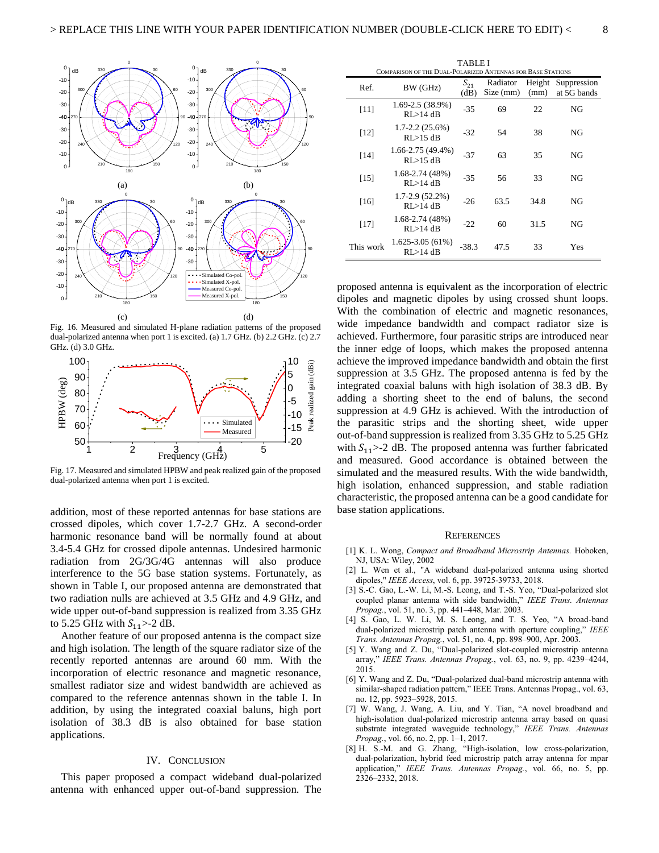

Fig. 16. Measured and simulated H-plane radiation patterns of the proposed dual-polarized antenna when port 1 is excited. (a) 1.7 GHz. (b) 2.2 GHz. (c) 2.7 GHz. (d) 3.0 GHz.



Fig. 17. Measured and simulated HPBW and peak realized gain of the proposed dual-polarized antenna when port 1 is excited.

addition, most of these reported antennas for base stations are crossed dipoles, which cover 1.7-2.7 GHz. A second-order harmonic resonance band will be normally found at about 3.4-5.4 GHz for crossed dipole antennas. Undesired harmonic radiation from 2G/3G/4G antennas will also produce interference to the 5G base station systems. Fortunately, as shown in Table I, our proposed antenna are demonstrated that two radiation nulls are achieved at 3.5 GHz and 4.9 GHz, and wide upper out-of-band suppression is realized from 3.35 GHz to 5.25 GHz with  $S_{11}$  > -2 dB.

Another feature of our proposed antenna is the compact size and high isolation. The length of the square radiator size of the recently reported antennas are around 60 mm. With the incorporation of electric resonance and magnetic resonance, smallest radiator size and widest bandwidth are achieved as compared to the reference antennas shown in the table I. In addition, by using the integrated coaxial baluns, high port isolation of 38.3 dB is also obtained for base station applications.

#### IV. CONCLUSION

This paper proposed a compact wideband dual-polarized antenna with enhanced upper out-of-band suppression. The

| <b>TABLE I</b><br>COMPARISON OF THE DUAL-POLARIZED ANTENNAS FOR BASE STATIONS |                                    |                  |                       |                |                            |
|-------------------------------------------------------------------------------|------------------------------------|------------------|-----------------------|----------------|----------------------------|
| Ref.                                                                          | BW (GHz)                           | $S_{21}$<br>(dB) | Radiator<br>Size (mm) | Height<br>(mm) | Suppression<br>at 5G bands |
| $[11]$                                                                        | 1.69-2.5 (38.9%)<br>RI > 14 dB     | $-35$            | 69                    | 22             | NG                         |
| [12]                                                                          | $1.7 - 2.2(25.6%)$<br>$RI > 15$ dB | $-32$            | 54                    | 38             | NG                         |
| $[14]$                                                                        | 1.66-2.75 (49.4%)<br>$RI > 15$ dB  | $-37$            | 63                    | 35             | NG                         |
| $[15]$                                                                        | 1.68-2.74 (48%)<br>$RI > 14$ dB    | $-35$            | 56                    | 33             | NG                         |
| [16]                                                                          | 1.7-2.9 (52.2%)<br>RI > 14 dB      | $-26$            | 63.5                  | 34.8           | NG                         |
| $[17]$                                                                        | 1.68-2.74 (48%)<br>RI > 14 dB      | $-22$            | 60                    | 31.5           | NG                         |
| This work                                                                     | $1.625 - 3.05(61%)$<br>RL > 14 dB  | $-38.3$          | 47.5                  | 33             | Yes                        |

proposed antenna is equivalent as the incorporation of electric dipoles and magnetic dipoles by using crossed shunt loops. With the combination of electric and magnetic resonances, wide impedance bandwidth and compact radiator size is achieved. Furthermore, four parasitic strips are introduced near the inner edge of loops, which makes the proposed antenna achieve the improved impedance bandwidth and obtain the first suppression at 3.5 GHz. The proposed antenna is fed by the integrated coaxial baluns with high isolation of 38.3 dB. By adding a shorting sheet to the end of baluns, the second suppression at 4.9 GHz is achieved. With the introduction of the parasitic strips and the shorting sheet, wide upper out-of-band suppression is realized from 3.35 GHz to 5.25 GHz with  $S_{11}$  > -2 dB. The proposed antenna was further fabricated and measured. Good accordance is obtained between the simulated and the measured results. With the wide bandwidth, high isolation, enhanced suppression, and stable radiation characteristic, the proposed antenna can be a good candidate for base station applications.

#### **REFERENCES**

- [1] K. L. Wong, *Compact and Broadband Microstrip Antennas.* Hoboken, NJ, USA: Wiley, 2002
- [2] L. Wen et al., "A wideband dual-polarized antenna using shorted dipoles," *IEEE Access*, vol. 6, pp. 39725-39733, 2018.
- [3] S.-C. Gao, L.-W. Li, M.-S. Leong, and T.-S. Yeo, "Dual-polarized slot coupled planar antenna with side bandwidth," *IEEE Trans. Antennas Propag.*, vol. 51, no. 3, pp. 441–448, Mar. 2003.
- [4] S. Gao, L. W. Li, M. S. Leong, and T. S. Yeo, "A broad-band dual-polarized microstrip patch antenna with aperture coupling," *IEEE Trans. Antennas Propag.*, vol. 51, no. 4, pp. 898–900, Apr. 2003.
- [5] Y. Wang and Z. Du, "Dual-polarized slot-coupled microstrip antenna array," *IEEE Trans. Antennas Propag.*, vol. 63, no. 9, pp. 4239–4244, 2015.
- [6] Y. Wang and Z. Du, "Dual-polarized dual-band microstrip antenna with similar-shaped radiation pattern," IEEE Trans. Antennas Propag., vol. 63, no. 12, pp. 5923–5928, 2015.
- [7] W. Wang, J. Wang, A. Liu, and Y. Tian, "A novel broadband and high-isolation dual-polarized microstrip antenna array based on quasi substrate integrated waveguide technology," *IEEE Trans. Antennas Propag.*, vol. 66, no. 2, pp. 1–1, 2017.
- [8] H. S.-M. and G. Zhang, "High-isolation, low cross-polarization, dual-polarization, hybrid feed microstrip patch array antenna for mpar application," *IEEE Trans. Antennas Propag.*, vol. 66, no. 5, pp. 2326–2332, 2018.